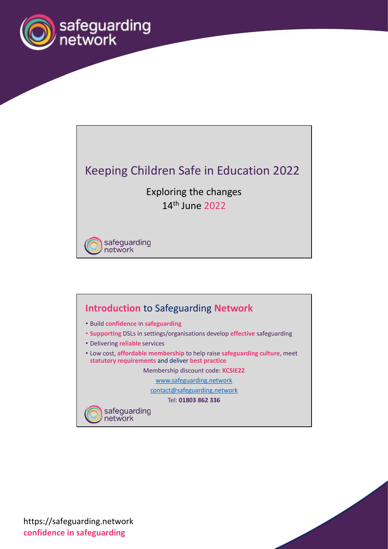

## Keeping Children Safe in Education 2022

Exploring the changes 14th June 2022

safeguarding<br>network

## **Introduction** to Safeguarding **Network**

- Build **confidence** in **safeguarding**
- **Supporting** DSLs in settings/organisations develop **effective** safeguarding
- Delivering **reliable** services
- Low cost, **affordable membership** to help raise **safeguarding culture,** meet **statutory requirements** and deliver **best practice**

Membership discount code: **KCSIE22**

www.safeguarding.network

contact@safeguarding.network

Tel: **01803 862 336**

safeguarding<br>network

https://safeguarding.network **confidence in safeguarding**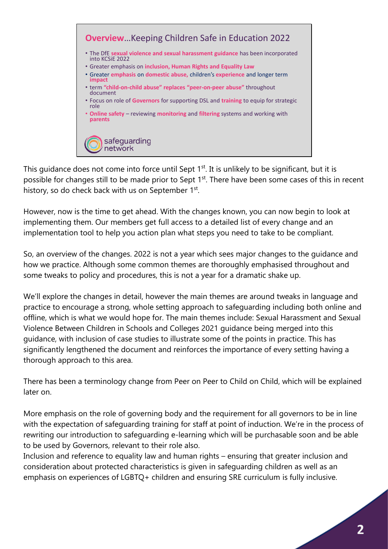

This guidance does not come into force until Sept 1<sup>st</sup>. It is unlikely to be significant, but it is possible for changes still to be made prior to Sept 1<sup>st</sup>. There have been some cases of this in recent history, so do check back with us on September 1st.

However, now is the time to get ahead. With the changes known, you can now begin to look at implementing them. Our members get full access to a detailed list of every change and an implementation tool to help you action plan what steps you need to take to be compliant.

So, an overview of the changes. 2022 is not a year which sees major changes to the guidance and how we practice. Although some common themes are thoroughly emphasised throughout and some tweaks to policy and procedures, this is not a year for a dramatic shake up.

We'll explore the changes in detail, however the main themes are around tweaks in language and practice to encourage a strong, whole setting approach to safeguarding including both online and offline, which is what we would hope for. The main themes include: Sexual Harassment and Sexual Violence Between Children in Schools and Colleges 2021 guidance being merged into this guidance, with inclusion of case studies to illustrate some of the points in practice. This has significantly lengthened the document and reinforces the importance of every setting having a thorough approach to this area.

There has been a terminology change from Peer on Peer to Child on Child, which will be explained later on.

More emphasis on the role of governing body and the requirement for all governors to be in line with the expectation of safeguarding training for staff at point of induction. We're in the process of rewriting our introduction to safeguarding e-learning which will be purchasable soon and be able to be used by Governors, relevant to their role also.

Inclusion and reference to equality law and human rights – ensuring that greater inclusion and consideration about protected characteristics is given in safeguarding children as well as an emphasis on experiences of LGBTQ+ children and ensuring SRE curriculum is fully inclusive.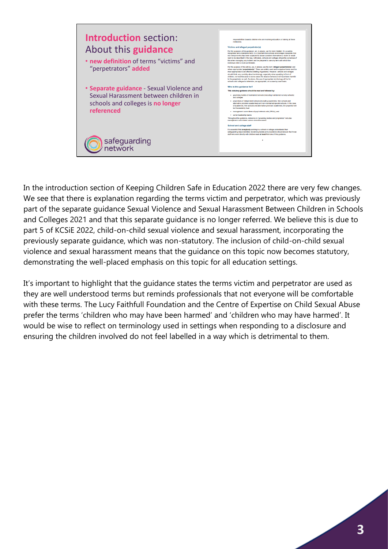

In the introduction section of Keeping Children Safe in Education 2022 there are very few changes. We see that there is explanation regarding the terms victim and perpetrator, which was previously part of the separate guidance Sexual Violence and Sexual Harassment Between Children in Schools and Colleges 2021 and that this separate guidance is no longer referred. We believe this is due to part 5 of KCSiE 2022, child-on-child sexual violence and sexual harassment, incorporating the previously separate guidance, which was non-statutory. The inclusion of child-on-child sexual violence and sexual harassment means that the guidance on this topic now becomes statutory, demonstrating the well-placed emphasis on this topic for all education settings.

It's important to highlight that the guidance states the terms victim and perpetrator are used as they are well understood terms but reminds professionals that not everyone will be comfortable with these terms. The Lucy Faithfull Foundation and the Centre of Expertise on Child Sexual Abuse prefer the terms 'children who may have been harmed' and 'children who may have harmed'. It would be wise to reflect on terminology used in settings when responding to a disclosure and ensuring the children involved do not feel labelled in a way which is detrimental to them.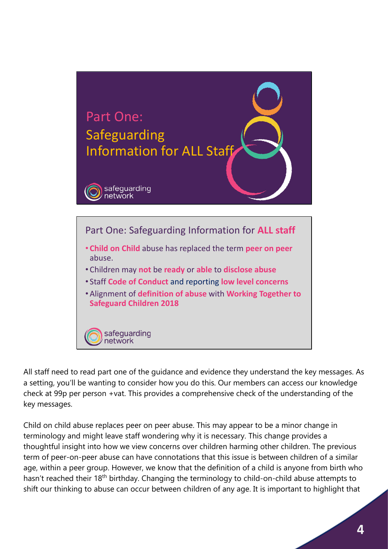

All staff need to read part one of the guidance and evidence they understand the key messages. As a setting, you'll be wanting to consider how you do this. Our members can access our knowledge check at 99p per person +vat. This provides a comprehensive check of the understanding of the key messages.

Child on child abuse replaces peer on peer abuse. This may appear to be a minor change in terminology and might leave staff wondering why it is necessary. This change provides a thoughtful insight into how we view concerns over children harming other children. The previous term of peer-on-peer abuse can have connotations that this issue is between children of a similar age, within a peer group. However, we know that the definition of a child is anyone from birth who hasn't reached their 18<sup>th</sup> birthday. Changing the terminology to child-on-child abuse attempts to shift our thinking to abuse can occur between children of any age. It is important to highlight that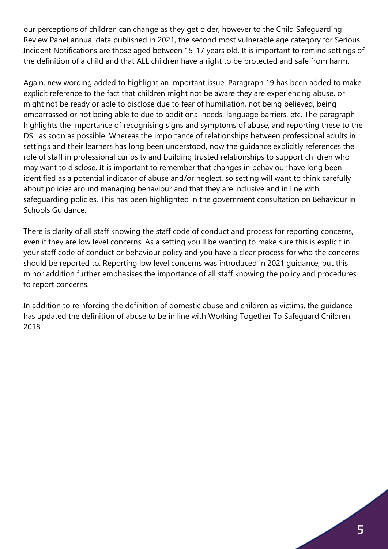our perceptions of children can change as they get older, however to the Child Safeguarding Review Panel annual data published in 2021, the second most vulnerable age category for Serious Incident Notifications are those aged between 15-17 years old. It is important to remind settings of the definition of a child and that ALL children have a right to be protected and safe from harm.

Again, new wording added to highlight an important issue. Paragraph 19 has been added to make explicit reference to the fact that children might not be aware they are experiencing abuse, or might not be ready or able to disclose due to fear of humiliation, not being believed, being embarrassed or not being able to due to additional needs, language barriers, etc. The paragraph highlights the importance of recognising signs and symptoms of abuse, and reporting these to the DSL as soon as possible. Whereas the importance of relationships between professional adults in settings and their learners has long been understood, now the guidance explicitly references the role of staff in professional curiosity and building trusted relationships to support children who may want to disclose. It is important to remember that changes in behaviour have long been identified as a potential indicator of abuse and/or neglect, so setting will want to think carefully about policies around managing behaviour and that they are inclusive and in line with safeguarding policies. This has been highlighted in the government consultation on Behaviour in Schools Guidance.

There is clarity of all staff knowing the staff code of conduct and process for reporting concerns, even if they are low level concerns. As a setting you'll be wanting to make sure this is explicit in your staff code of conduct or behaviour policy and you have a clear process for who the concerns should be reported to. Reporting low level concerns was introduced in 2021 guidance, but this minor addition further emphasises the importance of all staff knowing the policy and procedures to report concerns.

In addition to reinforcing the definition of domestic abuse and children as victims, the guidance has updated the definition of abuse to be in line with Working Together To Safeguard Children 2018.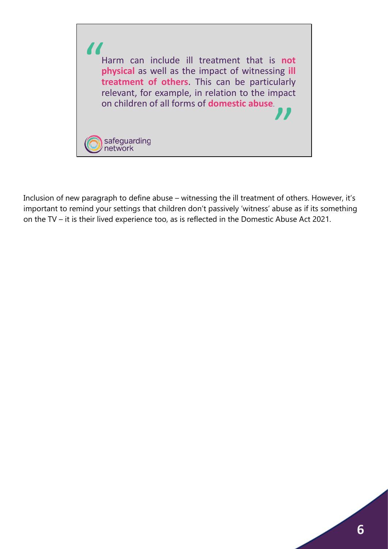

Inclusion of new paragraph to define abuse – witnessing the ill treatment of others. However, it's important to remind your settings that children don't passively 'witness' abuse as if its something on the TV – it is their lived experience too, as is reflected in the Domestic Abuse Act 2021.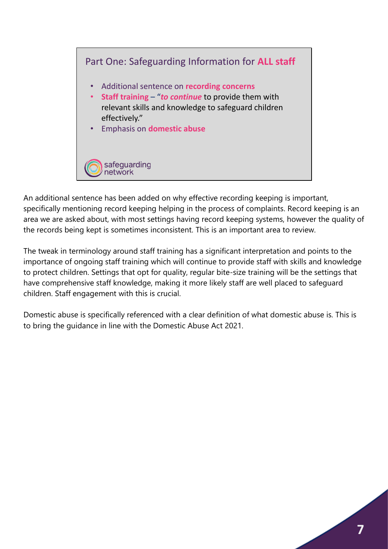

An additional sentence has been added on why effective recording keeping is important, specifically mentioning record keeping helping in the process of complaints. Record keeping is an area we are asked about, with most settings having record keeping systems, however the quality of the records being kept is sometimes inconsistent. This is an important area to review.

The tweak in terminology around staff training has a significant interpretation and points to the importance of ongoing staff training which will continue to provide staff with skills and knowledge to protect children. Settings that opt for quality, regular bite-size training will be the settings that have comprehensive staff knowledge, making it more likely staff are well placed to safeguard children. Staff engagement with this is crucial.

Domestic abuse is specifically referenced with a clear definition of what domestic abuse is. This is to bring the guidance in line with the Domestic Abuse Act 2021.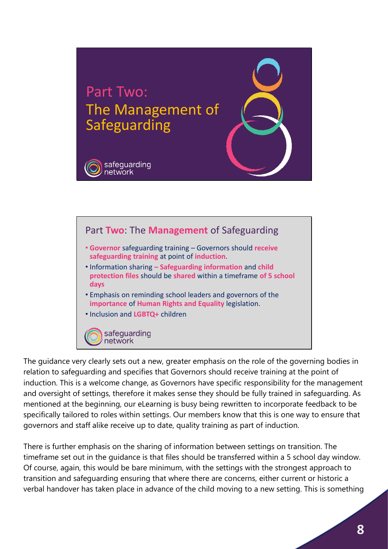



The guidance very clearly sets out a new, greater emphasis on the role of the governing bodies in relation to safeguarding and specifies that Governors should receive training at the point of induction. This is a welcome change, as Governors have specific responsibility for the management and oversight of settings, therefore it makes sense they should be fully trained in safeguarding. As mentioned at the beginning, our eLearning is busy being rewritten to incorporate feedback to be specifically tailored to roles within settings. Our members know that this is one way to ensure that governors and staff alike receive up to date, quality training as part of induction.

There is further emphasis on the sharing of information between settings on transition. The timeframe set out in the guidance is that files should be transferred within a 5 school day window. Of course, again, this would be bare minimum, with the settings with the strongest approach to transition and safeguarding ensuring that where there are concerns, either current or historic a verbal handover has taken place in advance of the child moving to a new setting. This is something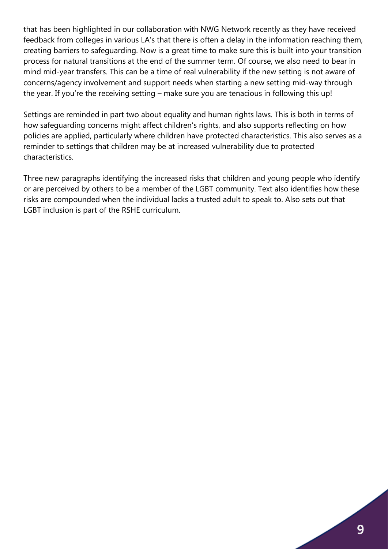that has been highlighted in our collaboration with NWG Network recently as they have received feedback from colleges in various LA's that there is often a delay in the information reaching them, creating barriers to safeguarding. Now is a great time to make sure this is built into your transition process for natural transitions at the end of the summer term. Of course, we also need to bear in mind mid-year transfers. This can be a time of real vulnerability if the new setting is not aware of concerns/agency involvement and support needs when starting a new setting mid-way through the year. If you're the receiving setting – make sure you are tenacious in following this up!

Settings are reminded in part two about equality and human rights laws. This is both in terms of how safeguarding concerns might affect children's rights, and also supports reflecting on how policies are applied, particularly where children have protected characteristics. This also serves as a reminder to settings that children may be at increased vulnerability due to protected characteristics.

Three new paragraphs identifying the increased risks that children and young people who identify or are perceived by others to be a member of the LGBT community. Text also identifies how these risks are compounded when the individual lacks a trusted adult to speak to. Also sets out that LGBT inclusion is part of the RSHE curriculum.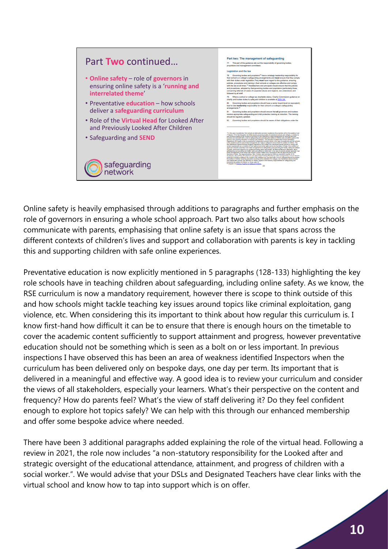

Online safety is heavily emphasised through additions to paragraphs and further emphasis on the role of governors in ensuring a whole school approach. Part two also talks about how schools communicate with parents, emphasising that online safety is an issue that spans across the different contexts of children's lives and support and collaboration with parents is key in tackling this and supporting children with safe online experiences.

Preventative education is now explicitly mentioned in 5 paragraphs (128-133) highlighting the key role schools have in teaching children about safeguarding, including online safety. As we know, the RSE curriculum is now a mandatory requirement, however there is scope to think outside of this and how schools might tackle teaching key issues around topics like criminal exploitation, gang violence, etc. When considering this its important to think about how regular this curriculum is. I know first-hand how difficult it can be to ensure that there is enough hours on the timetable to cover the academic content sufficiently to support attainment and progress, however preventative education should not be something which is seen as a bolt on or less important. In previous inspections I have observed this has been an area of weakness identified Inspectors when the curriculum has been delivered only on bespoke days, one day per term. Its important that is delivered in a meaningful and effective way. A good idea is to review your curriculum and consider the views of all stakeholders, especially your learners. What's their perspective on the content and frequency? How do parents feel? What's the view of staff delivering it? Do they feel confident enough to explore hot topics safely? We can help with this through our enhanced membership and offer some bespoke advice where needed.

There have been 3 additional paragraphs added explaining the role of the virtual head. Following a review in 2021, the role now includes "a non-statutory responsibility for the Looked after and strategic oversight of the educational attendance, attainment, and progress of children with a social worker.". We would advise that your DSLs and Designated Teachers have clear links with the virtual school and know how to tap into support which is on offer.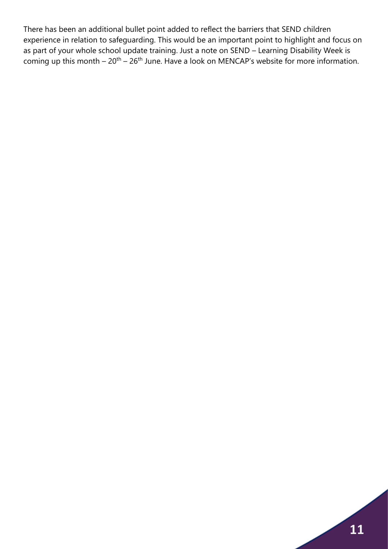There has been an additional bullet point added to reflect the barriers that SEND children experience in relation to safeguarding. This would be an important point to highlight and focus on as part of your whole school update training. Just a note on SEND – Learning Disability Week is coming up this month  $-20$ <sup>th</sup>  $-26$ <sup>th</sup> June. Have a look on MENCAP's website for more information.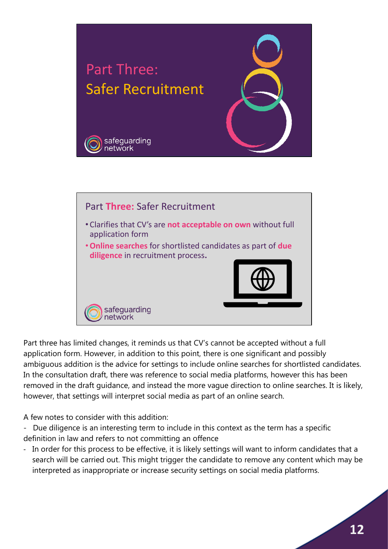

Part three has limited changes, it reminds us that CV's cannot be accepted without a full application form. However, in addition to this point, there is one significant and possibly ambiguous addition is the advice for settings to include online searches for shortlisted candidates. In the consultation draft, there was reference to social media platforms, however this has been removed in the draft guidance, and instead the more vague direction to online searches. It is likely, however, that settings will interpret social media as part of an online search.

•**Online searches** for shortlisted candidates as part of **due** 

**diligence** in recruitment process**.** 

safeguarding<br>network

A few notes to consider with this addition:

- Due diligence is an interesting term to include in this context as the term has a specific definition in law and refers to not committing an offence
- In order for this process to be effective, it is likely settings will want to inform candidates that a search will be carried out. This might trigger the candidate to remove any content which may be interpreted as inappropriate or increase security settings on social media platforms.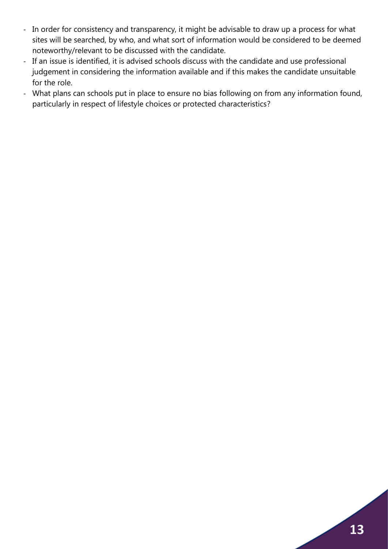- In order for consistency and transparency, it might be advisable to draw up a process for what sites will be searched, by who, and what sort of information would be considered to be deemed noteworthy/relevant to be discussed with the candidate.
- If an issue is identified, it is advised schools discuss with the candidate and use professional judgement in considering the information available and if this makes the candidate unsuitable for the role.
- What plans can schools put in place to ensure no bias following on from any information found, particularly in respect of lifestyle choices or protected characteristics?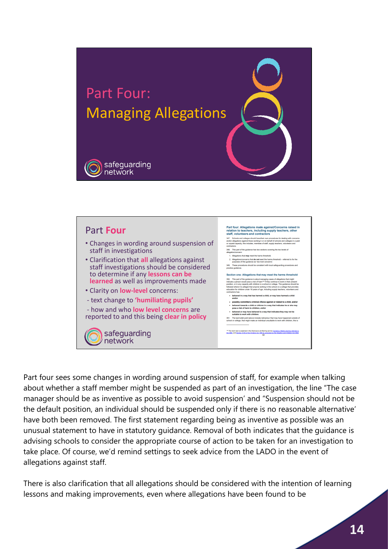

## Part four: Allegations made against/Concerns raised in<br>relation to teachers, including supply teachers, other<br>staff, volunteers and contractors Part **Four staff, volunteers and contractors**<br>347. Schools and colleges should have their own procedures for d<br>and/or alegations against those working in or on behalf of schools as<br>or trapaid capacity, this includes, members of staf • Changes in wording around suspension of ontractors.<br>I48. This part of the guidance has two sections covering the two levels o staff in investigations ..................<br>. Allegations that **may** meet the harms threshok .<br>sgations/concerns that **do not** meet the harms threshold -- referred to for the<br>poses of this guidance as 'low level concerns'.<br>ese nancedures should be consistent with local safemuarding procedures and • Clarification that **all** allegations against staff investigations should be considered to determine if any **lessons can be**  Section one: Allegations that may meet the harms thr 350. This part of the guidance is about managing cases of allegations that might indicate a person would pose a risk of harm<sup>12</sup> if they condition to work in their presentation, or in any capacity with children in a schoo **learned** as well as improvements made • Clarity on **low-level** concerns: actors nas.<br>behaved in a way that has harmed a child, or may have ha<br>and/or - text change to **'humiliating pupils'** andour<br>possibly committed a criminal offence against or related to a child<br>behaved towards a child or children in a way that indicates he or a<br>pose a risk of harm to children, and/or - how and who **low level concerns** are pose a risk or narm to children, and/or<br>behaved or may have behaved in a way that indicates they may not be<br>suitable to work with children. reported to and this being **clear in policy** 351. The last builet point above includes behaviour that may have happene<br>school or college, that might make an individual unsuitable to work with childr <sup>134</sup> The harm test is explained in the Disclosure and Barring service Cuidance: Making barrier (1989) and Childen and Childen and Childen and Childen and Childen and Childen and Childen and Childen and Childen and Childen safeguarding network

Part four sees some changes in wording around suspension of staff, for example when talking about whether a staff member might be suspended as part of an investigation, the line "The case manager should be as inventive as possible to avoid suspension' and "Suspension should not be the default position, an individual should be suspended only if there is no reasonable alternative' have both been removed. The first statement regarding being as inventive as possible was an unusual statement to have in statutory guidance. Removal of both indicates that the guidance is advising schools to consider the appropriate course of action to be taken for an investigation to take place. Of course, we'd remind settings to seek advice from the LADO in the event of allegations against staff.

There is also clarification that all allegations should be considered with the intention of learning lessons and making improvements, even where allegations have been found to be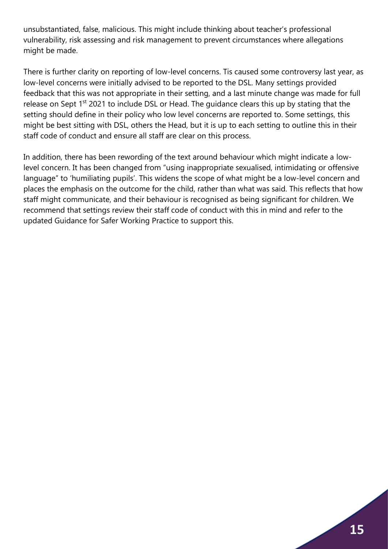unsubstantiated, false, malicious. This might include thinking about teacher's professional vulnerability, risk assessing and risk management to prevent circumstances where allegations might be made.

There is further clarity on reporting of low-level concerns. Tis caused some controversy last year, as low-level concerns were initially advised to be reported to the DSL. Many settings provided feedback that this was not appropriate in their setting, and a last minute change was made for full release on Sept 1<sup>st</sup> 2021 to include DSL or Head. The quidance clears this up by stating that the setting should define in their policy who low level concerns are reported to. Some settings, this might be best sitting with DSL, others the Head, but it is up to each setting to outline this in their staff code of conduct and ensure all staff are clear on this process.

In addition, there has been rewording of the text around behaviour which might indicate a lowlevel concern. It has been changed from "using inappropriate sexualised, intimidating or offensive language" to 'humiliating pupils'. This widens the scope of what might be a low-level concern and places the emphasis on the outcome for the child, rather than what was said. This reflects that how staff might communicate, and their behaviour is recognised as being significant for children. We recommend that settings review their staff code of conduct with this in mind and refer to the updated Guidance for Safer Working Practice to support this.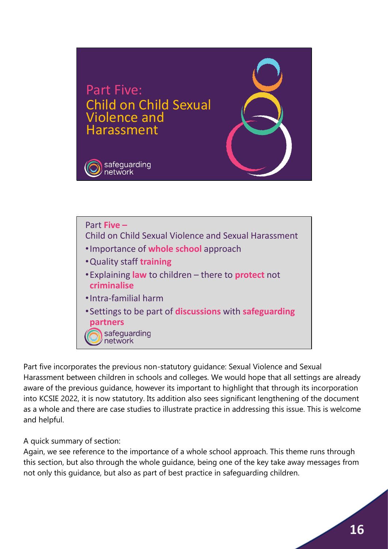



Part five incorporates the previous non-statutory guidance: Sexual Violence and Sexual Harassment between children in schools and colleges. We would hope that all settings are already aware of the previous guidance, however its important to highlight that through its incorporation into KCSIE 2022, it is now statutory. Its addition also sees significant lengthening of the document as a whole and there are case studies to illustrate practice in addressing this issue. This is welcome and helpful.

A quick summary of section:

Again, we see reference to the importance of a whole school approach. This theme runs through this section, but also through the whole guidance, being one of the key take away messages from not only this guidance, but also as part of best practice in safeguarding children.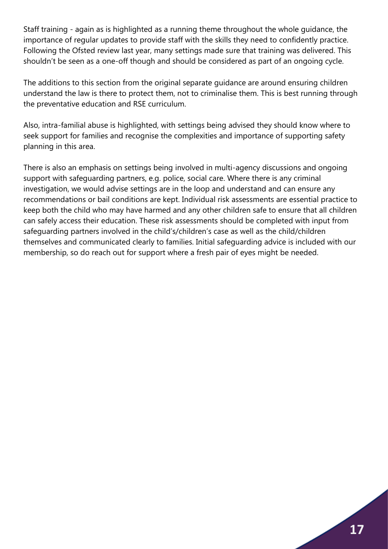Staff training - again as is highlighted as a running theme throughout the whole guidance, the importance of regular updates to provide staff with the skills they need to confidently practice. Following the Ofsted review last year, many settings made sure that training was delivered. This shouldn't be seen as a one-off though and should be considered as part of an ongoing cycle.

The additions to this section from the original separate guidance are around ensuring children understand the law is there to protect them, not to criminalise them. This is best running through the preventative education and RSE curriculum.

Also, intra-familial abuse is highlighted, with settings being advised they should know where to seek support for families and recognise the complexities and importance of supporting safety planning in this area.

There is also an emphasis on settings being involved in multi-agency discussions and ongoing support with safeguarding partners, e.g. police, social care. Where there is any criminal investigation, we would advise settings are in the loop and understand and can ensure any recommendations or bail conditions are kept. Individual risk assessments are essential practice to keep both the child who may have harmed and any other children safe to ensure that all children can safely access their education. These risk assessments should be completed with input from safeguarding partners involved in the child's/children's case as well as the child/children themselves and communicated clearly to families. Initial safeguarding advice is included with our membership, so do reach out for support where a fresh pair of eyes might be needed.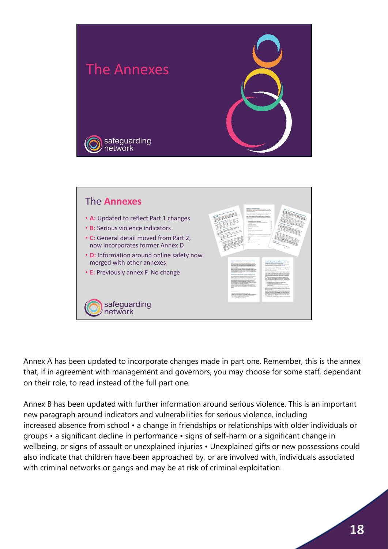



Annex A has been updated to incorporate changes made in part one. Remember, this is the annex that, if in agreement with management and governors, you may choose for some staff, dependant on their role, to read instead of the full part one.

Annex B has been updated with further information around serious violence. This is an important new paragraph around indicators and vulnerabilities for serious violence, including increased absence from school • a change in friendships or relationships with older individuals or groups • a significant decline in performance • signs of self-harm or a significant change in wellbeing, or signs of assault or unexplained injuries • Unexplained gifts or new possessions could also indicate that children have been approached by, or are involved with, individuals associated with criminal networks or gangs and may be at risk of criminal exploitation.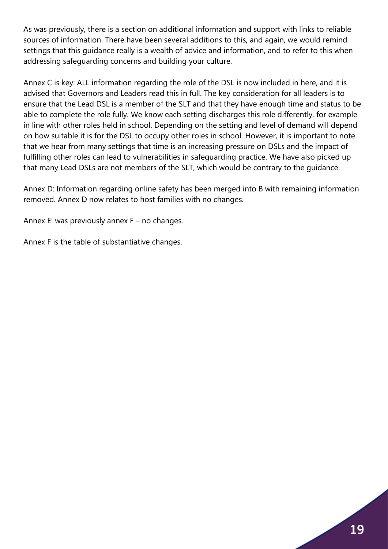As was previously, there is a section on additional information and support with links to reliable sources of information. There have been several additions to this, and again, we would remind settings that this guidance really is a wealth of advice and information, and to refer to this when addressing safeguarding concerns and building your culture.

Annex C is key: ALL information regarding the role of the DSL is now included in here, and it is advised that Governors and Leaders read this in full. The key consideration for all leaders is to ensure that the Lead DSL is a member of the SLT and that they have enough time and status to be able to complete the role fully. We know each setting discharges this role differently, for example in line with other roles held in school. Depending on the setting and level of demand will depend on how suitable it is for the DSL to occupy other roles in school. However, it is important to note that we hear from many settings that time is an increasing pressure on DSLs and the impact of fulfilling other roles can lead to vulnerabilities in safeguarding practice. We have also picked up that many Lead DSLs are not members of the SLT, which would be contrary to the guidance.

Annex D: Information regarding online safety has been merged into B with remaining information removed. Annex D now relates to host families with no changes.

Annex E: was previously annex F – no changes.

Annex F is the table of substantiative changes.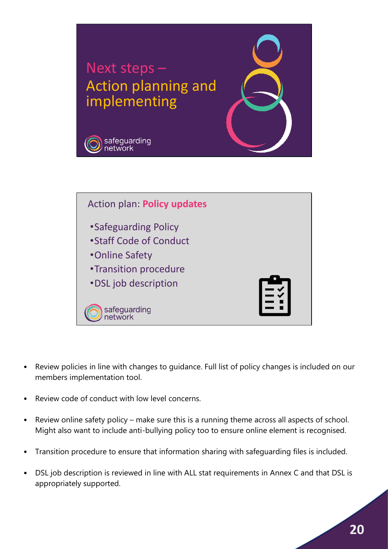

- Review policies in line with changes to guidance. Full list of policy changes is included on our members implementation tool.
- Review code of conduct with low level concerns.
- Review online safety policy make sure this is a running theme across all aspects of school. Might also want to include anti-bullying policy too to ensure online element is recognised.
- Transition procedure to ensure that information sharing with safeguarding files is included.
- DSL job description is reviewed in line with ALL stat requirements in Annex C and that DSL is appropriately supported.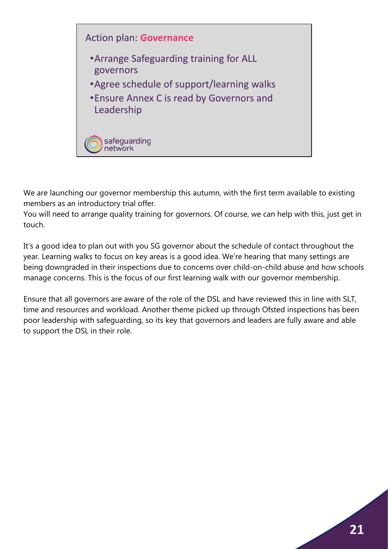

We are launching our governor membership this autumn, with the first term available to existing members as an introductory trial offer.

You will need to arrange quality training for governors. Of course, we can help with this, just get in touch.

It's a good idea to plan out with you SG governor about the schedule of contact throughout the year. Learning walks to focus on key areas is a good idea. We're hearing that many settings are being downgraded in their inspections due to concerns over child-on-child abuse and how schools manage concerns. This is the focus of our first learning walk with our governor membership.

Ensure that all governors are aware of the role of the DSL and have reviewed this in line with SLT, time and resources and workload. Another theme picked up through Ofsted inspections has been poor leadership with safeguarding, so its key that governors and leaders are fully aware and able to support the DSL in their role.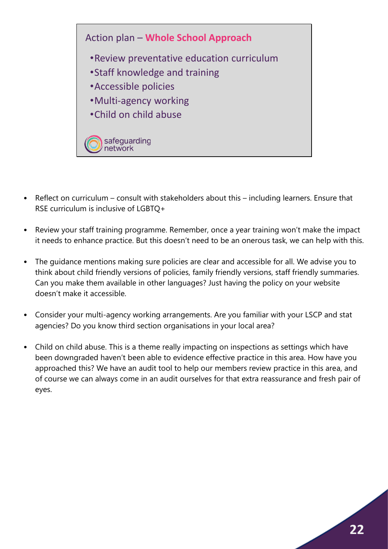

- Reflect on curriculum consult with stakeholders about this including learners. Ensure that RSE curriculum is inclusive of LGBTQ+
- Review your staff training programme. Remember, once a year training won't make the impact it needs to enhance practice. But this doesn't need to be an onerous task, we can help with this.
- The guidance mentions making sure policies are clear and accessible for all. We advise you to think about child friendly versions of policies, family friendly versions, staff friendly summaries. Can you make them available in other languages? Just having the policy on your website doesn't make it accessible.
- Consider your multi-agency working arrangements. Are you familiar with your LSCP and stat agencies? Do you know third section organisations in your local area?
- Child on child abuse. This is a theme really impacting on inspections as settings which have been downgraded haven't been able to evidence effective practice in this area. How have you approached this? We have an audit tool to help our members review practice in this area, and of course we can always come in an audit ourselves for that extra reassurance and fresh pair of eyes.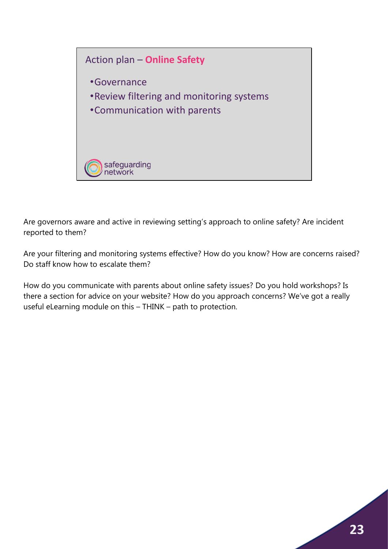

Are governors aware and active in reviewing setting's approach to online safety? Are incident reported to them?

Are your filtering and monitoring systems effective? How do you know? How are concerns raised? Do staff know how to escalate them?

How do you communicate with parents about online safety issues? Do you hold workshops? Is there a section for advice on your website? How do you approach concerns? We've got a really useful eLearning module on this – THINK – path to protection.